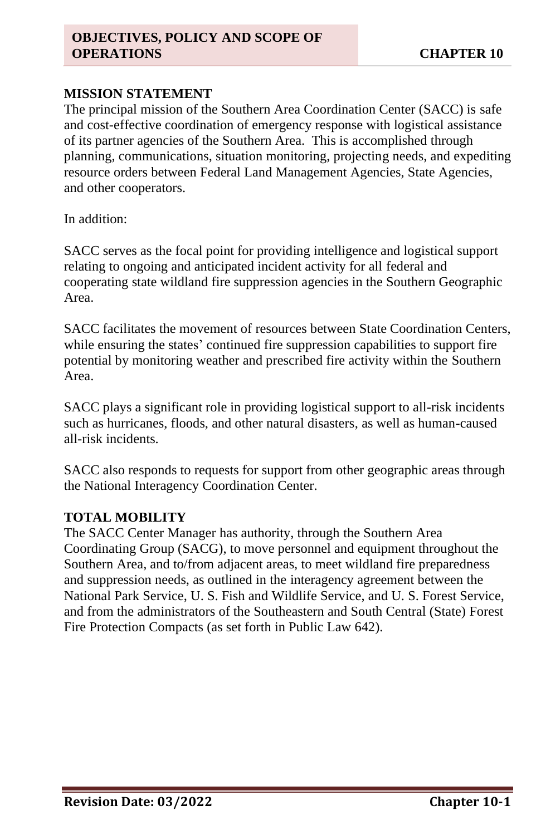#### **MISSION STATEMENT**

The principal mission of the Southern Area Coordination Center (SACC) is safe and cost-effective coordination of emergency response with logistical assistance of its partner agencies of the Southern Area. This is accomplished through planning, communications, situation monitoring, projecting needs, and expediting resource orders between Federal Land Management Agencies, State Agencies, and other cooperators.

In addition:

SACC serves as the focal point for providing intelligence and logistical support relating to ongoing and anticipated incident activity for all federal and cooperating state wildland fire suppression agencies in the Southern Geographic Area.

SACC facilitates the movement of resources between State Coordination Centers, while ensuring the states' continued fire suppression capabilities to support fire potential by monitoring weather and prescribed fire activity within the Southern Area.

SACC plays a significant role in providing logistical support to all-risk incidents such as hurricanes, floods, and other natural disasters, as well as human-caused all-risk incidents.

SACC also responds to requests for support from other geographic areas through the National Interagency Coordination Center.

# **TOTAL MOBILITY**

The SACC Center Manager has authority, through the Southern Area Coordinating Group (SACG), to move personnel and equipment throughout the Southern Area, and to/from adjacent areas, to meet wildland fire preparedness and suppression needs, as outlined in the interagency agreement between the National Park Service, U. S. Fish and Wildlife Service, and U. S. Forest Service, and from the administrators of the Southeastern and South Central (State) Forest Fire Protection Compacts (as set forth in Public Law 642).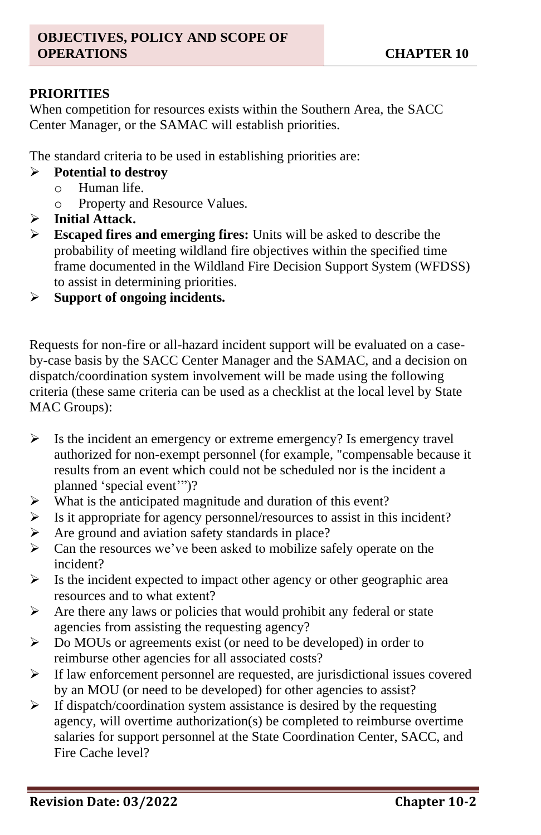# **PRIORITIES**

When competition for resources exists within the Southern Area, the SACC Center Manager, or the SAMAC will establish priorities.

The standard criteria to be used in establishing priorities are:

- ➢ **Potential to destroy**
	- o Human life.
	- o Property and Resource Values.
- ➢ **Initial Attack.**
- ➢ **Escaped fires and emerging fires:** Units will be asked to describe the probability of meeting wildland fire objectives within the specified time frame documented in the Wildland Fire Decision Support System (WFDSS) to assist in determining priorities.
- ➢ **Support of ongoing incidents.**

Requests for non-fire or all-hazard incident support will be evaluated on a caseby-case basis by the SACC Center Manager and the SAMAC, and a decision on dispatch/coordination system involvement will be made using the following criteria (these same criteria can be used as a checklist at the local level by State MAC Groups):

- ➢ Is the incident an emergency or extreme emergency? Is emergency travel authorized for non-exempt personnel (for example, "compensable because it results from an event which could not be scheduled nor is the incident a planned 'special event'")?
- ➢ What is the anticipated magnitude and duration of this event?
- ➢ Is it appropriate for agency personnel/resources to assist in this incident?
- ➢ Are ground and aviation safety standards in place?
- ➢ Can the resources we've been asked to mobilize safely operate on the incident?
- $\triangleright$  Is the incident expected to impact other agency or other geographic area resources and to what extent?
- $\triangleright$  Are there any laws or policies that would prohibit any federal or state agencies from assisting the requesting agency?
- ➢ Do MOUs or agreements exist (or need to be developed) in order to reimburse other agencies for all associated costs?
- ➢ If law enforcement personnel are requested, are jurisdictional issues covered by an MOU (or need to be developed) for other agencies to assist?
- $\triangleright$  If dispatch/coordination system assistance is desired by the requesting agency, will overtime authorization(s) be completed to reimburse overtime salaries for support personnel at the State Coordination Center, SACC, and Fire Cache level?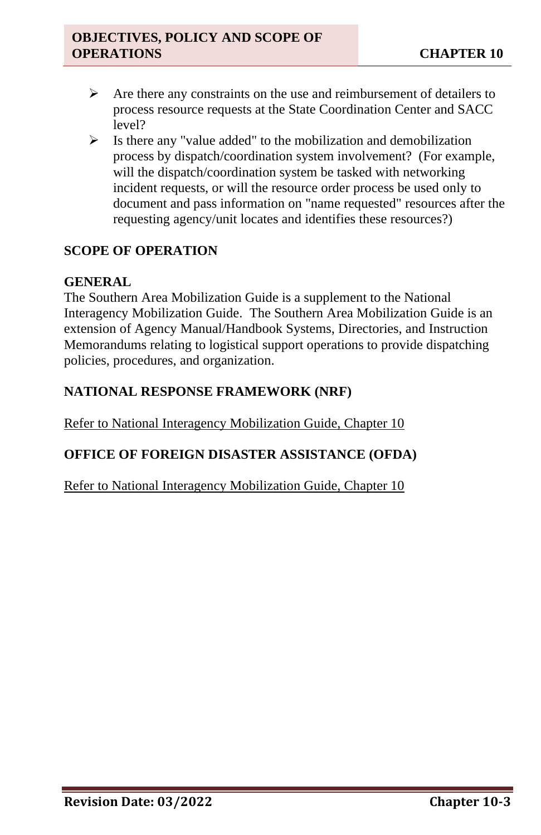- $\triangleright$  Are there any constraints on the use and reimbursement of detailers to process resource requests at the State Coordination Center and SACC level?
- $\triangleright$  Is there any "value added" to the mobilization and demobilization process by dispatch/coordination system involvement? (For example, will the dispatch/coordination system be tasked with networking incident requests, or will the resource order process be used only to document and pass information on "name requested" resources after the requesting agency/unit locates and identifies these resources?)

# **SCOPE OF OPERATION**

#### **GENERAL**

The Southern Area Mobilization Guide is a supplement to the National Interagency Mobilization Guide. The Southern Area Mobilization Guide is an extension of Agency Manual/Handbook Systems, Directories, and Instruction Memorandums relating to logistical support operations to provide dispatching policies, procedures, and organization.

#### **NATIONAL RESPONSE FRAMEWORK (NRF)**

Refer to National Interagency Mobilization Guide, Chapter 10

# **OFFICE OF FOREIGN DISASTER ASSISTANCE (OFDA)**

Refer to National Interagency Mobilization Guide, Chapter 10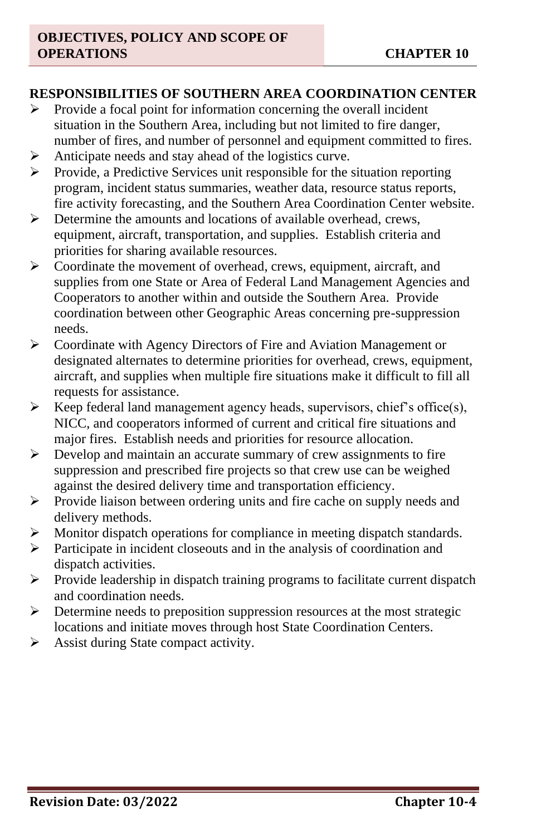#### **RESPONSIBILITIES OF SOUTHERN AREA COORDINATION CENTER**

- ➢ Provide a focal point for information concerning the overall incident situation in the Southern Area, including but not limited to fire danger, number of fires, and number of personnel and equipment committed to fires.
- ➢ Anticipate needs and stay ahead of the logistics curve.
- ➢ Provide, a Predictive Services unit responsible for the situation reporting program, incident status summaries, weather data, resource status reports, fire activity forecasting, and the Southern Area Coordination Center website.
- ➢ Determine the amounts and locations of available overhead, crews, equipment, aircraft, transportation, and supplies. Establish criteria and priorities for sharing available resources.
- $\triangleright$  Coordinate the movement of overhead, crews, equipment, aircraft, and supplies from one State or Area of Federal Land Management Agencies and Cooperators to another within and outside the Southern Area. Provide coordination between other Geographic Areas concerning pre-suppression needs.
- ➢ Coordinate with Agency Directors of Fire and Aviation Management or designated alternates to determine priorities for overhead, crews, equipment, aircraft, and supplies when multiple fire situations make it difficult to fill all requests for assistance.
- $\triangleright$  Keep federal land management agency heads, supervisors, chief's office(s), NICC, and cooperators informed of current and critical fire situations and major fires. Establish needs and priorities for resource allocation.
- ➢ Develop and maintain an accurate summary of crew assignments to fire suppression and prescribed fire projects so that crew use can be weighed against the desired delivery time and transportation efficiency.
- ➢ Provide liaison between ordering units and fire cache on supply needs and delivery methods.
- ➢ Monitor dispatch operations for compliance in meeting dispatch standards.
- ➢ Participate in incident closeouts and in the analysis of coordination and dispatch activities.
- $\triangleright$  Provide leadership in dispatch training programs to facilitate current dispatch and coordination needs.
- ➢ Determine needs to preposition suppression resources at the most strategic locations and initiate moves through host State Coordination Centers.
- ➢ Assist during State compact activity.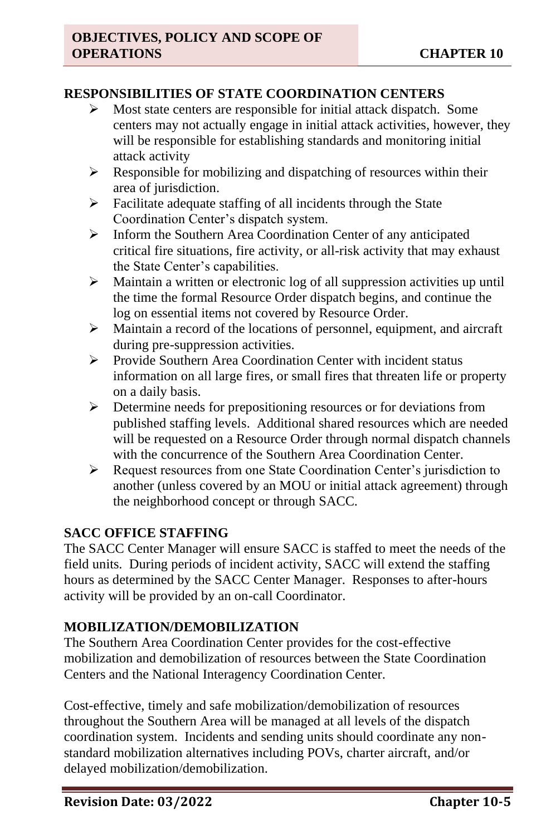#### **RESPONSIBILITIES OF STATE COORDINATION CENTERS**

- ➢ Most state centers are responsible for initial attack dispatch. Some centers may not actually engage in initial attack activities, however, they will be responsible for establishing standards and monitoring initial attack activity
- $\triangleright$  Responsible for mobilizing and dispatching of resources within their area of jurisdiction.
- ➢ Facilitate adequate staffing of all incidents through the State Coordination Center's dispatch system.
- ➢ Inform the Southern Area Coordination Center of any anticipated critical fire situations, fire activity, or all-risk activity that may exhaust the State Center's capabilities.
- ➢ Maintain a written or electronic log of all suppression activities up until the time the formal Resource Order dispatch begins, and continue the log on essential items not covered by Resource Order.
- ➢ Maintain a record of the locations of personnel, equipment, and aircraft during pre-suppression activities.
- ➢ Provide Southern Area Coordination Center with incident status information on all large fires, or small fires that threaten life or property on a daily basis.
- ➢ Determine needs for prepositioning resources or for deviations from published staffing levels. Additional shared resources which are needed will be requested on a Resource Order through normal dispatch channels with the concurrence of the Southern Area Coordination Center.
- ➢ Request resources from one State Coordination Center's jurisdiction to another (unless covered by an MOU or initial attack agreement) through the neighborhood concept or through SACC.

# **SACC OFFICE STAFFING**

The SACC Center Manager will ensure SACC is staffed to meet the needs of the field units. During periods of incident activity, SACC will extend the staffing hours as determined by the SACC Center Manager. Responses to after-hours activity will be provided by an on-call Coordinator.

# **MOBILIZATION/DEMOBILIZATION**

The Southern Area Coordination Center provides for the cost-effective mobilization and demobilization of resources between the State Coordination Centers and the National Interagency Coordination Center.

Cost-effective, timely and safe mobilization/demobilization of resources throughout the Southern Area will be managed at all levels of the dispatch coordination system. Incidents and sending units should coordinate any nonstandard mobilization alternatives including POVs, charter aircraft, and/or delayed mobilization/demobilization.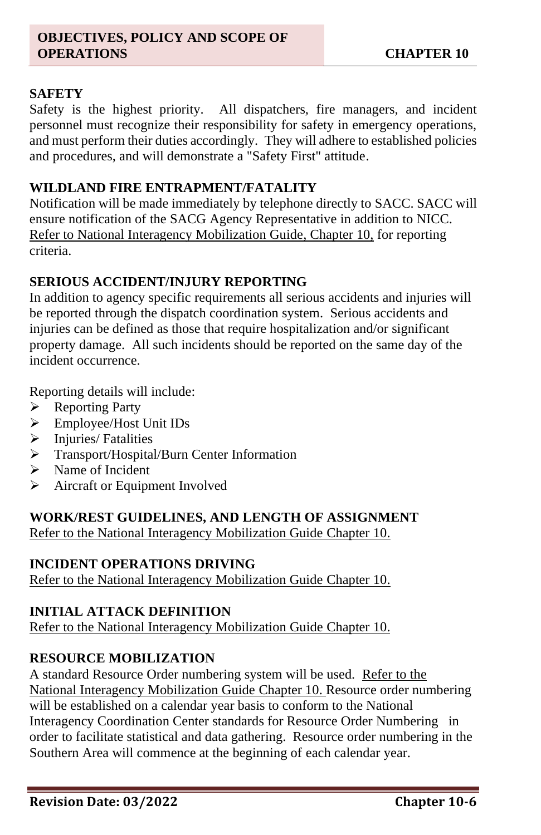#### **SAFETY**

Safety is the highest priority. All dispatchers, fire managers, and incident personnel must recognize their responsibility for safety in emergency operations, and must perform their duties accordingly. They will adhere to established policies and procedures, and will demonstrate a "Safety First" attitude.

#### **WILDLAND FIRE ENTRAPMENT/FATALITY**

Notification will be made immediately by telephone directly to SACC. SACC will ensure notification of the SACG Agency Representative in addition to NICC. Refer to National Interagency Mobilization Guide, Chapter 10, for reporting criteria.

#### **SERIOUS ACCIDENT/INJURY REPORTING**

In addition to agency specific requirements all serious accidents and injuries will be reported through the dispatch coordination system. Serious accidents and injuries can be defined as those that require hospitalization and/or significant property damage. All such incidents should be reported on the same day of the incident occurrence.

Reporting details will include:

- ➢ Reporting Party
- ➢ Employee/Host Unit IDs
- ➢ Injuries/ Fatalities
- ➢ Transport/Hospital/Burn Center Information
- ➢ Name of Incident
- ➢ Aircraft or Equipment Involved

#### **WORK/REST GUIDELINES, AND LENGTH OF ASSIGNMENT**

Refer to the National Interagency Mobilization Guide Chapter 10.

#### **INCIDENT OPERATIONS DRIVING**

Refer to the National Interagency Mobilization Guide Chapter 10.

#### **INITIAL ATTACK DEFINITION**

Refer to the National Interagency Mobilization Guide Chapter 10.

#### **RESOURCE MOBILIZATION**

A standard Resource Order numbering system will be used. Refer to the National Interagency Mobilization Guide Chapter 10. Resource order numbering will be established on a calendar year basis to conform to the National Interagency Coordination Center standards for Resource Order Numbering in order to facilitate statistical and data gathering. Resource order numbering in the Southern Area will commence at the beginning of each calendar year.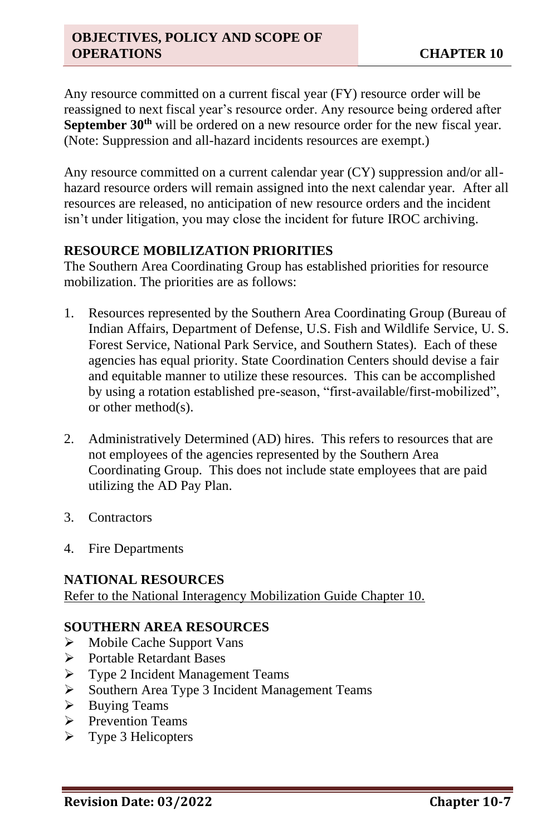Any resource committed on a current fiscal year (FY) resource order will be reassigned to next fiscal year's resource order. Any resource being ordered after **September 30th** will be ordered on a new resource order for the new fiscal year. (Note: Suppression and all-hazard incidents resources are exempt.)

Any resource committed on a current calendar year (CY) suppression and/or allhazard resource orders will remain assigned into the next calendar year. After all resources are released, no anticipation of new resource orders and the incident isn't under litigation, you may close the incident for future IROC archiving.

#### **RESOURCE MOBILIZATION PRIORITIES**

The Southern Area Coordinating Group has established priorities for resource mobilization. The priorities are as follows:

- 1. Resources represented by the Southern Area Coordinating Group (Bureau of Indian Affairs, Department of Defense, U.S. Fish and Wildlife Service, U. S. Forest Service, National Park Service, and Southern States). Each of these agencies has equal priority. State Coordination Centers should devise a fair and equitable manner to utilize these resources. This can be accomplished by using a rotation established pre-season, "first-available/first-mobilized", or other method(s).
- 2. Administratively Determined (AD) hires. This refers to resources that are not employees of the agencies represented by the Southern Area Coordinating Group. This does not include state employees that are paid utilizing the AD Pay Plan.
- 3. Contractors
- 4. Fire Departments

# **NATIONAL RESOURCES**

Refer to the National Interagency Mobilization Guide Chapter 10.

# **SOUTHERN AREA RESOURCES**

- ➢ Mobile Cache Support Vans
- ➢ Portable Retardant Bases
- ➢ Type 2 Incident Management Teams
- ➢ Southern Area Type 3 Incident Management Teams
- ➢ Buying Teams
- ➢ Prevention Teams
- ➢ Type 3 Helicopters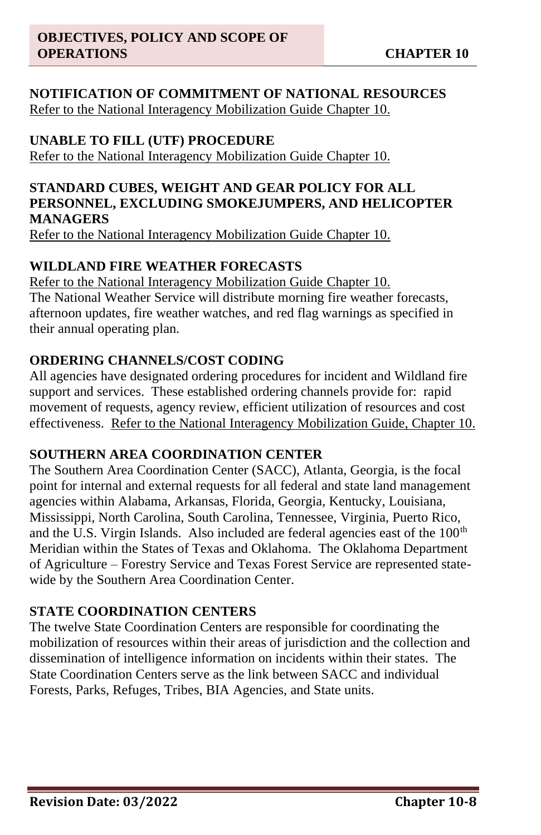#### **NOTIFICATION OF COMMITMENT OF NATIONAL RESOURCES** Refer to the National Interagency Mobilization Guide Chapter 10.

# **UNABLE TO FILL (UTF) PROCEDURE**

Refer to the National Interagency Mobilization Guide Chapter 10.

#### **STANDARD CUBES, WEIGHT AND GEAR POLICY FOR ALL PERSONNEL, EXCLUDING SMOKEJUMPERS, AND HELICOPTER MANAGERS**

Refer to the National Interagency Mobilization Guide Chapter 10.

#### **WILDLAND FIRE WEATHER FORECASTS**

Refer to the National Interagency Mobilization Guide Chapter 10. The National Weather Service will distribute morning fire weather forecasts, afternoon updates, fire weather watches, and red flag warnings as specified in their annual operating plan.

# **ORDERING CHANNELS/COST CODING**

All agencies have designated ordering procedures for incident and Wildland fire support and services. These established ordering channels provide for: rapid movement of requests, agency review, efficient utilization of resources and cost effectiveness. Refer to the National Interagency Mobilization Guide, Chapter 10.

#### **SOUTHERN AREA COORDINATION CENTER**

The Southern Area Coordination Center (SACC), Atlanta, Georgia, is the focal point for internal and external requests for all federal and state land management agencies within Alabama, Arkansas, Florida, Georgia, Kentucky, Louisiana, Mississippi, North Carolina, South Carolina, Tennessee, Virginia, Puerto Rico, and the U.S. Virgin Islands. Also included are federal agencies east of the 100<sup>th</sup> Meridian within the States of Texas and Oklahoma. The Oklahoma Department of Agriculture – Forestry Service and Texas Forest Service are represented statewide by the Southern Area Coordination Center.

# **STATE COORDINATION CENTERS**

The twelve State Coordination Centers are responsible for coordinating the mobilization of resources within their areas of jurisdiction and the collection and dissemination of intelligence information on incidents within their states. The State Coordination Centers serve as the link between SACC and individual Forests, Parks, Refuges, Tribes, BIA Agencies, and State units.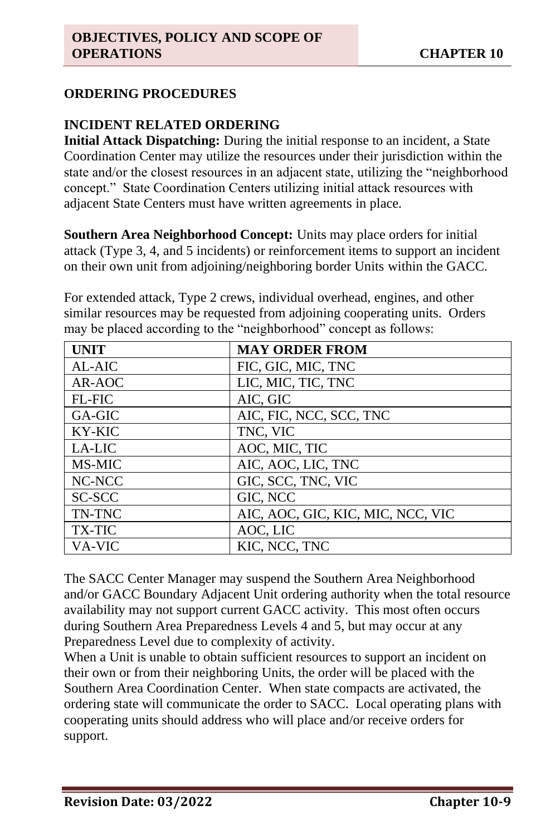### **ORDERING PROCEDURES**

#### **INCIDENT RELATED ORDERING**

**Initial Attack Dispatching:** During the initial response to an incident, a State Coordination Center may utilize the resources under their jurisdiction within the state and/or the closest resources in an adjacent state, utilizing the "neighborhood concept." State Coordination Centers utilizing initial attack resources with adjacent State Centers must have written agreements in place.

**Southern Area Neighborhood Concept:** Units may place orders for initial attack (Type 3, 4, and 5 incidents) or reinforcement items to support an incident on their own unit from adjoining/neighboring border Units within the GACC.

For extended attack, Type 2 crews, individual overhead, engines, and other similar resources may be requested from adjoining cooperating units. Orders may be placed according to the "neighborhood" concept as follows:

| <b>UNIT</b>   | <b>MAY ORDER FROM</b>             |
|---------------|-----------------------------------|
| AL-AIC        | FIC, GIC, MIC, TNC                |
| AR-AOC        | LIC, MIC, TIC, TNC                |
| <b>FL-FIC</b> | AIC, GIC                          |
| GA-GIC        | AIC, FIC, NCC, SCC, TNC           |
| KY-KIC        | TNC, VIC                          |
| LA-LIC        | AOC, MIC, TIC                     |
| MS-MIC        | AIC, AOC, LIC, TNC                |
| NC-NCC        | GIC, SCC, TNC, VIC                |
| SC-SCC        | GIC, NCC                          |
| TN-TNC        | AIC, AOC, GIC, KIC, MIC, NCC, VIC |
| <b>TX-TIC</b> | AOC, LIC                          |
| <b>VA-VIC</b> | KIC, NCC, TNC                     |

The SACC Center Manager may suspend the Southern Area Neighborhood and/or GACC Boundary Adjacent Unit ordering authority when the total resource availability may not support current GACC activity. This most often occurs during Southern Area Preparedness Levels 4 and 5, but may occur at any Preparedness Level due to complexity of activity.

When a Unit is unable to obtain sufficient resources to support an incident on their own or from their neighboring Units, the order will be placed with the Southern Area Coordination Center. When state compacts are activated, the ordering state will communicate the order to SACC. Local operating plans with cooperating units should address who will place and/or receive orders for support.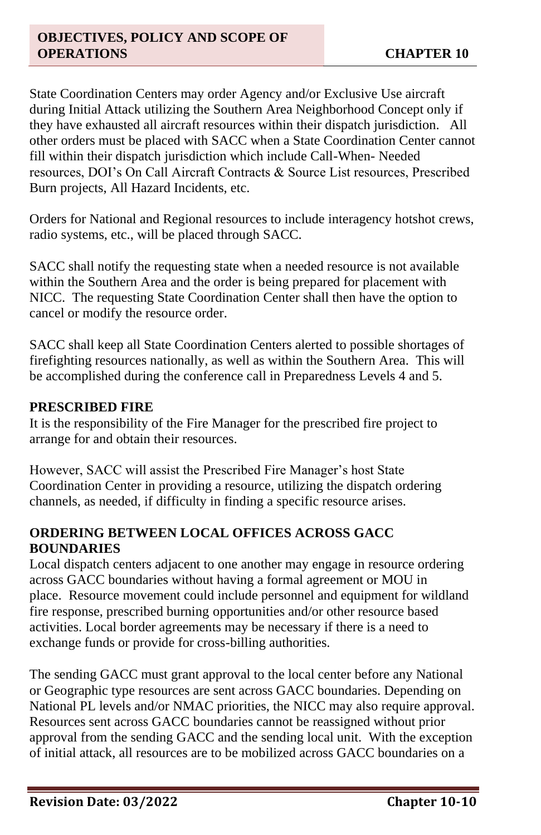State Coordination Centers may order Agency and/or Exclusive Use aircraft during Initial Attack utilizing the Southern Area Neighborhood Concept only if they have exhausted all aircraft resources within their dispatch jurisdiction. All other orders must be placed with SACC when a State Coordination Center cannot fill within their dispatch jurisdiction which include Call-When- Needed resources, DOI's On Call Aircraft Contracts & Source List resources, Prescribed Burn projects, All Hazard Incidents, etc.

Orders for National and Regional resources to include interagency hotshot crews, radio systems, etc., will be placed through SACC.

SACC shall notify the requesting state when a needed resource is not available within the Southern Area and the order is being prepared for placement with NICC. The requesting State Coordination Center shall then have the option to cancel or modify the resource order.

SACC shall keep all State Coordination Centers alerted to possible shortages of firefighting resources nationally, as well as within the Southern Area. This will be accomplished during the conference call in Preparedness Levels 4 and 5.

#### **PRESCRIBED FIRE**

It is the responsibility of the Fire Manager for the prescribed fire project to arrange for and obtain their resources.

However, SACC will assist the Prescribed Fire Manager's host State Coordination Center in providing a resource, utilizing the dispatch ordering channels, as needed, if difficulty in finding a specific resource arises.

# **ORDERING BETWEEN LOCAL OFFICES ACROSS GACC BOUNDARIES**

Local dispatch centers adjacent to one another may engage in resource ordering across GACC boundaries without having a formal agreement or MOU in place. Resource movement could include personnel and equipment for wildland fire response, prescribed burning opportunities and/or other resource based activities. Local border agreements may be necessary if there is a need to exchange funds or provide for cross-billing authorities.

The sending GACC must grant approval to the local center before any National or Geographic type resources are sent across GACC boundaries. Depending on National PL levels and/or NMAC priorities, the NICC may also require approval. Resources sent across GACC boundaries cannot be reassigned without prior approval from the sending GACC and the sending local unit. With the exception of initial attack, all resources are to be mobilized across GACC boundaries on a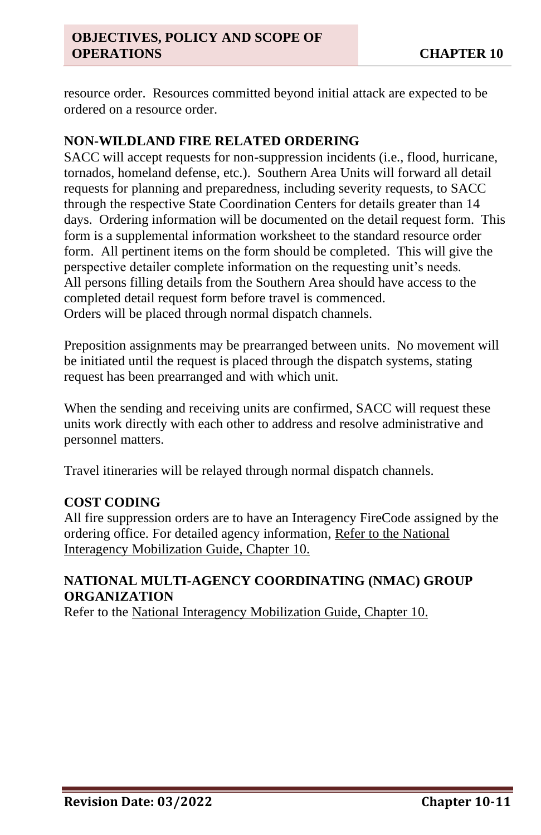resource order. Resources committed beyond initial attack are expected to be ordered on a resource order.

# **NON-WILDLAND FIRE RELATED ORDERING**

SACC will accept requests for non-suppression incidents (i.e., flood, hurricane, tornados, homeland defense, etc.). Southern Area Units will forward all detail requests for planning and preparedness, including severity requests, to SACC through the respective State Coordination Centers for details greater than 14 days. Ordering information will be documented on the detail request form. This form is a supplemental information worksheet to the standard resource order form. All pertinent items on the form should be completed. This will give the perspective detailer complete information on the requesting unit's needs. All persons filling details from the Southern Area should have access to the completed detail request form before travel is commenced. Orders will be placed through normal dispatch channels.

Preposition assignments may be prearranged between units. No movement will be initiated until the request is placed through the dispatch systems, stating request has been prearranged and with which unit.

When the sending and receiving units are confirmed, SACC will request these units work directly with each other to address and resolve administrative and personnel matters.

Travel itineraries will be relayed through normal dispatch channels.

# **COST CODING**

All fire suppression orders are to have an Interagency FireCode assigned by the ordering office. For detailed agency information, Refer to the National Interagency Mobilization Guide, Chapter 10.

# **NATIONAL MULTI-AGENCY COORDINATING (NMAC) GROUP ORGANIZATION**

Refer to the National Interagency Mobilization Guide, Chapter 10.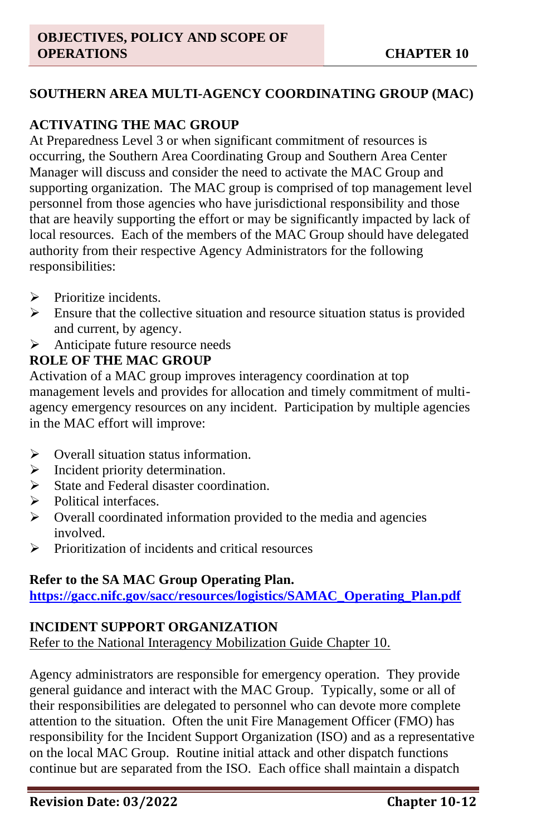#### **SOUTHERN AREA MULTI-AGENCY COORDINATING GROUP (MAC)**

#### **ACTIVATING THE MAC GROUP**

At Preparedness Level 3 or when significant commitment of resources is occurring, the Southern Area Coordinating Group and Southern Area Center Manager will discuss and consider the need to activate the MAC Group and supporting organization. The MAC group is comprised of top management level personnel from those agencies who have jurisdictional responsibility and those that are heavily supporting the effort or may be significantly impacted by lack of local resources. Each of the members of the MAC Group should have delegated authority from their respective Agency Administrators for the following responsibilities:

- $\triangleright$  Prioritize incidents.
- $\triangleright$  Ensure that the collective situation and resource situation status is provided and current, by agency.
- ➢ Anticipate future resource needs

#### **ROLE OF THE MAC GROUP**

Activation of a MAC group improves interagency coordination at top management levels and provides for allocation and timely commitment of multiagency emergency resources on any incident. Participation by multiple agencies in the MAC effort will improve:

- ➢ Overall situation status information.
- ➢ Incident priority determination.
- ➢ State and Federal disaster coordination.
- ➢ Political interfaces.
- $\triangleright$  Overall coordinated information provided to the media and agencies involved.
- ➢ Prioritization of incidents and critical resources

#### **Refer to the SA MAC Group Operating Plan.**

**[https://gacc.nifc.gov/sacc/resources/logistics/SAMAC\\_Operating\\_Plan.pdf](https://gacc.nifc.gov/sacc/resources/logistics/SAMAC_Operating_Plan.pdf)**

# **INCIDENT SUPPORT ORGANIZATION**

Refer to the National Interagency Mobilization Guide Chapter 10.

Agency administrators are responsible for emergency operation. They provide general guidance and interact with the MAC Group. Typically, some or all of their responsibilities are delegated to personnel who can devote more complete attention to the situation. Often the unit Fire Management Officer (FMO) has responsibility for the Incident Support Organization (ISO) and as a representative on the local MAC Group. Routine initial attack and other dispatch functions continue but are separated from the ISO. Each office shall maintain a dispatch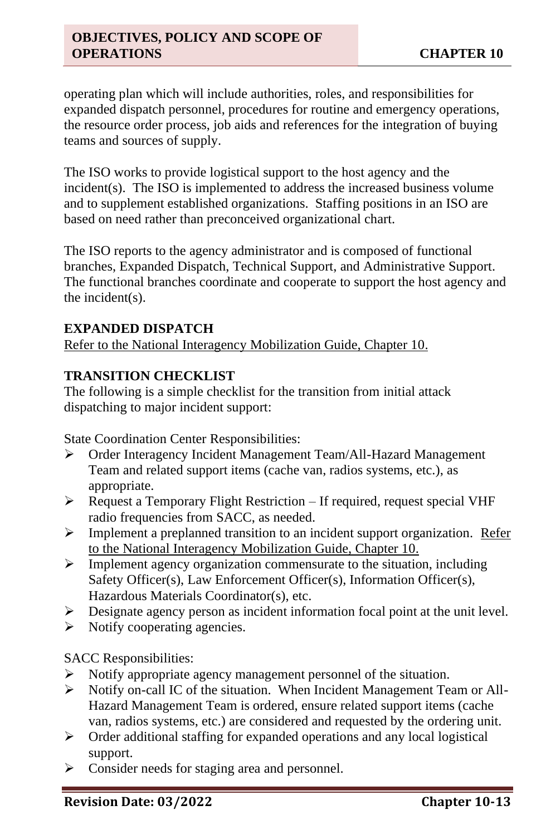operating plan which will include authorities, roles, and responsibilities for expanded dispatch personnel, procedures for routine and emergency operations, the resource order process, job aids and references for the integration of buying teams and sources of supply.

The ISO works to provide logistical support to the host agency and the incident(s). The ISO is implemented to address the increased business volume and to supplement established organizations. Staffing positions in an ISO are based on need rather than preconceived organizational chart.

The ISO reports to the agency administrator and is composed of functional branches, Expanded Dispatch, Technical Support, and Administrative Support. The functional branches coordinate and cooperate to support the host agency and the incident(s).

#### **EXPANDED DISPATCH**

Refer to the National Interagency Mobilization Guide, Chapter 10.

#### **TRANSITION CHECKLIST**

The following is a simple checklist for the transition from initial attack dispatching to major incident support:

State Coordination Center Responsibilities:

- ➢ Order Interagency Incident Management Team/All-Hazard Management Team and related support items (cache van, radios systems, etc.), as appropriate.
- ➢ Request a Temporary Flight Restriction If required, request special VHF radio frequencies from SACC, as needed.
- **EXECUTE:** Implement a preplanned transition to an incident support organization. Refer to the National Interagency Mobilization Guide, Chapter 10.
- ➢ Implement agency organization commensurate to the situation, including Safety Officer(s), Law Enforcement Officer(s), Information Officer(s), Hazardous Materials Coordinator(s), etc.
- $\triangleright$  Designate agency person as incident information focal point at the unit level.
- $\triangleright$  Notify cooperating agencies.

SACC Responsibilities:

- ➢ Notify appropriate agency management personnel of the situation.
- ➢ Notify on-call IC of the situation. When Incident Management Team or All-Hazard Management Team is ordered, ensure related support items (cache van, radios systems, etc.) are considered and requested by the ordering unit.
- ➢ Order additional staffing for expanded operations and any local logistical support.
- ➢ Consider needs for staging area and personnel.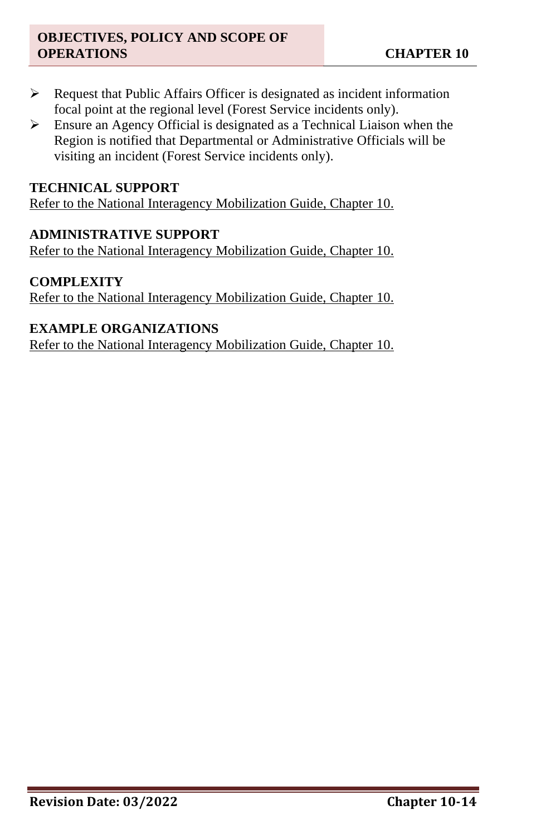- ➢ Request that Public Affairs Officer is designated as incident information focal point at the regional level (Forest Service incidents only).
- ➢ Ensure an Agency Official is designated as a Technical Liaison when the Region is notified that Departmental or Administrative Officials will be visiting an incident (Forest Service incidents only).

#### **TECHNICAL SUPPORT**

Refer to the National Interagency Mobilization Guide, Chapter 10.

#### **ADMINISTRATIVE SUPPORT**

Refer to the National Interagency Mobilization Guide, Chapter 10.

#### **COMPLEXITY**

Refer to the National Interagency Mobilization Guide, Chapter 10.

#### **EXAMPLE ORGANIZATIONS**

Refer to the National Interagency Mobilization Guide, Chapter 10.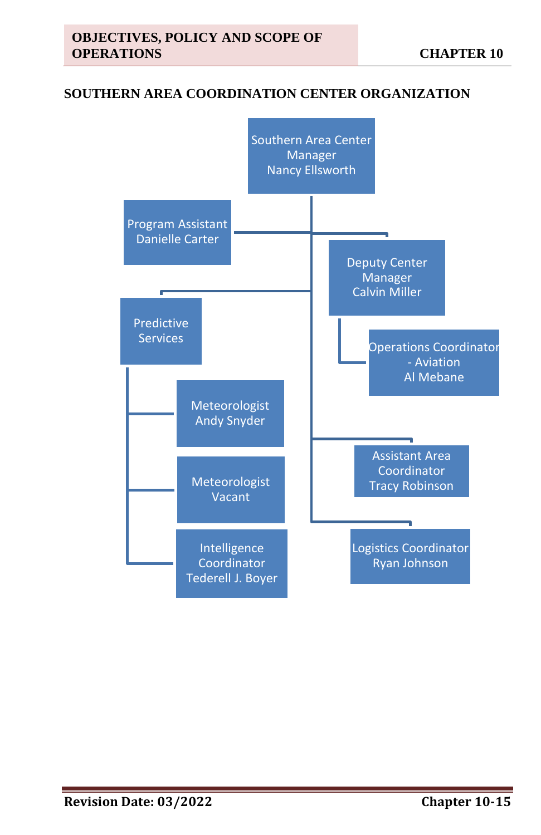#### **SOUTHERN AREA COORDINATION CENTER ORGANIZATION**

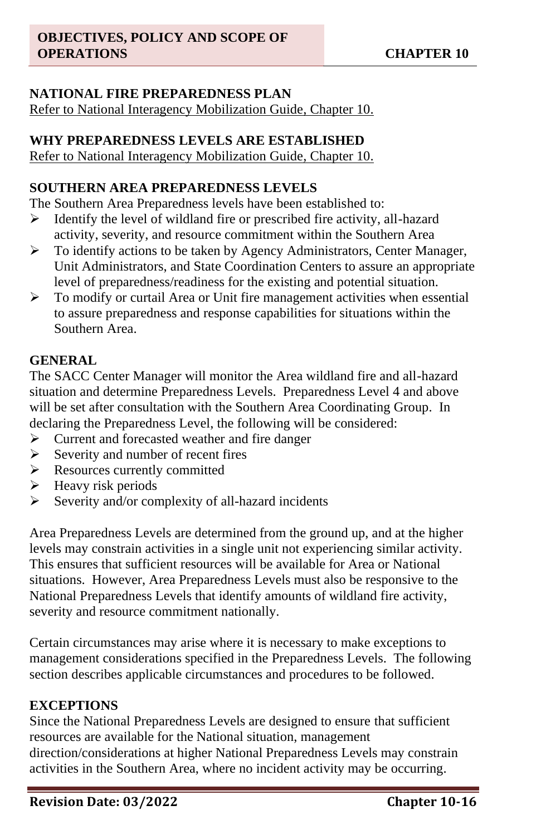# **NATIONAL FIRE PREPAREDNESS PLAN**

Refer to National Interagency Mobilization Guide, Chapter 10.

#### **WHY PREPAREDNESS LEVELS ARE ESTABLISHED**

Refer to National Interagency Mobilization Guide, Chapter 10.

### **SOUTHERN AREA PREPAREDNESS LEVELS**

The Southern Area Preparedness levels have been established to:

- ➢ Identify the level of wildland fire or prescribed fire activity, all-hazard activity, severity, and resource commitment within the Southern Area
- ➢ To identify actions to be taken by Agency Administrators, Center Manager, Unit Administrators, and State Coordination Centers to assure an appropriate level of preparedness/readiness for the existing and potential situation.
- $\triangleright$  To modify or curtail Area or Unit fire management activities when essential to assure preparedness and response capabilities for situations within the Southern Area.

# **GENERAL**

The SACC Center Manager will monitor the Area wildland fire and all-hazard situation and determine Preparedness Levels. Preparedness Level 4 and above will be set after consultation with the Southern Area Coordinating Group. In declaring the Preparedness Level, the following will be considered:

- ➢ Current and forecasted weather and fire danger
- ➢ Severity and number of recent fires
- ➢ Resources currently committed
- $\blacktriangleright$  Heavy risk periods
- $\triangleright$  Severity and/or complexity of all-hazard incidents

Area Preparedness Levels are determined from the ground up, and at the higher levels may constrain activities in a single unit not experiencing similar activity. This ensures that sufficient resources will be available for Area or National situations. However, Area Preparedness Levels must also be responsive to the National Preparedness Levels that identify amounts of wildland fire activity, severity and resource commitment nationally.

Certain circumstances may arise where it is necessary to make exceptions to management considerations specified in the Preparedness Levels. The following section describes applicable circumstances and procedures to be followed.

#### **EXCEPTIONS**

Since the National Preparedness Levels are designed to ensure that sufficient resources are available for the National situation, management direction/considerations at higher National Preparedness Levels may constrain activities in the Southern Area, where no incident activity may be occurring.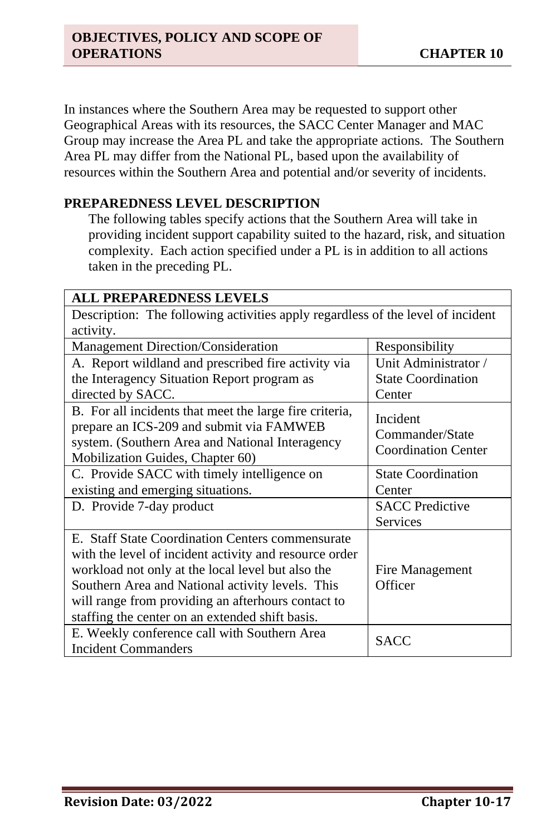In instances where the Southern Area may be requested to support other Geographical Areas with its resources, the SACC Center Manager and MAC Group may increase the Area PL and take the appropriate actions. The Southern Area PL may differ from the National PL, based upon the availability of resources within the Southern Area and potential and/or severity of incidents.

#### **PREPAREDNESS LEVEL DESCRIPTION**

The following tables specify actions that the Southern Area will take in providing incident support capability suited to the hazard, risk, and situation complexity. Each action specified under a PL is in addition to all actions taken in the preceding PL.

| <b>ALL PREPAREDNESS LEVELS</b>                                                                                                                                                                                                                                                                                               |                                                           |  |
|------------------------------------------------------------------------------------------------------------------------------------------------------------------------------------------------------------------------------------------------------------------------------------------------------------------------------|-----------------------------------------------------------|--|
| Description: The following activities apply regardless of the level of incident                                                                                                                                                                                                                                              |                                                           |  |
| activity.                                                                                                                                                                                                                                                                                                                    |                                                           |  |
| Management Direction/Consideration                                                                                                                                                                                                                                                                                           | Responsibility                                            |  |
| A. Report wildland and prescribed fire activity via                                                                                                                                                                                                                                                                          | Unit Administrator /                                      |  |
| the Interagency Situation Report program as                                                                                                                                                                                                                                                                                  | <b>State Coordination</b>                                 |  |
| directed by SACC.                                                                                                                                                                                                                                                                                                            | Center                                                    |  |
| B. For all incidents that meet the large fire criteria,<br>prepare an ICS-209 and submit via FAMWEB<br>system. (Southern Area and National Interagency<br>Mobilization Guides, Chapter 60)                                                                                                                                   | Incident<br>Commander/State<br><b>Coordination Center</b> |  |
| C. Provide SACC with timely intelligence on<br>existing and emerging situations.                                                                                                                                                                                                                                             | <b>State Coordination</b><br>Center                       |  |
| D. Provide 7-day product                                                                                                                                                                                                                                                                                                     | <b>SACC</b> Predictive<br>Services                        |  |
| E. Staff State Coordination Centers commensurate<br>with the level of incident activity and resource order<br>workload not only at the local level but also the<br>Southern Area and National activity levels. This<br>will range from providing an afterhours contact to<br>staffing the center on an extended shift basis. | Fire Management<br>Officer                                |  |
| E. Weekly conference call with Southern Area<br><b>Incident Commanders</b>                                                                                                                                                                                                                                                   | <b>SACC</b>                                               |  |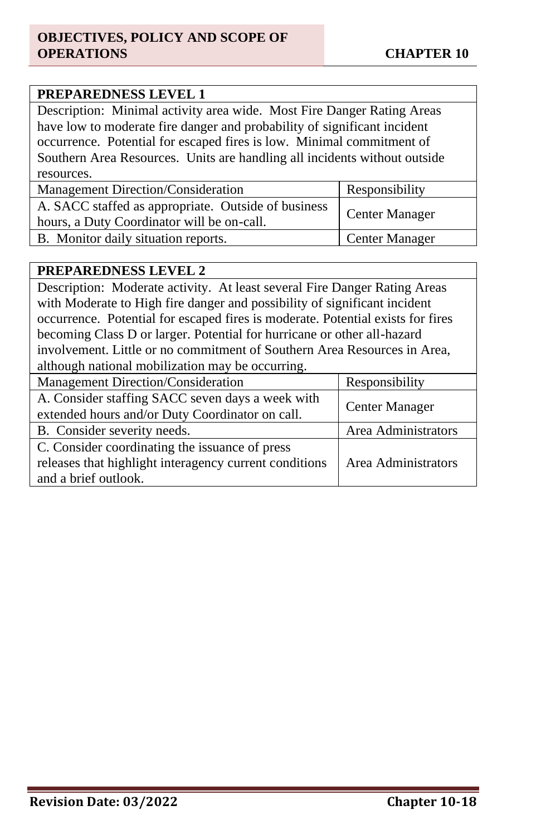#### **PREPAREDNESS LEVEL 1**

Description: Minimal activity area wide. Most Fire Danger Rating Areas have low to moderate fire danger and probability of significant incident occurrence. Potential for escaped fires is low. Minimal commitment of Southern Area Resources. Units are handling all incidents without outside resources.

| Management Direction/Consideration                                                                | Responsibility        |
|---------------------------------------------------------------------------------------------------|-----------------------|
| A. SACC staffed as appropriate. Outside of business<br>hours, a Duty Coordinator will be on-call. | <b>Center Manager</b> |
| B. Monitor daily situation reports.                                                               | Center Manager        |

#### **PREPAREDNESS LEVEL 2**

Description: Moderate activity. At least several Fire Danger Rating Areas with Moderate to High fire danger and possibility of significant incident occurrence. Potential for escaped fires is moderate. Potential exists for fires becoming Class D or larger. Potential for hurricane or other all-hazard involvement. Little or no commitment of Southern Area Resources in Area, although national mobilization may be occurring.

| Management Direction/Consideration                                                                  | Responsibility      |
|-----------------------------------------------------------------------------------------------------|---------------------|
| A. Consider staffing SACC seven days a week with<br>extended hours and/or Duty Coordinator on call. | Center Manager      |
| B. Consider severity needs.                                                                         | Area Administrators |
| C. Consider coordinating the issuance of press                                                      |                     |
| releases that highlight interagency current conditions                                              | Area Administrators |
| and a brief outlook.                                                                                |                     |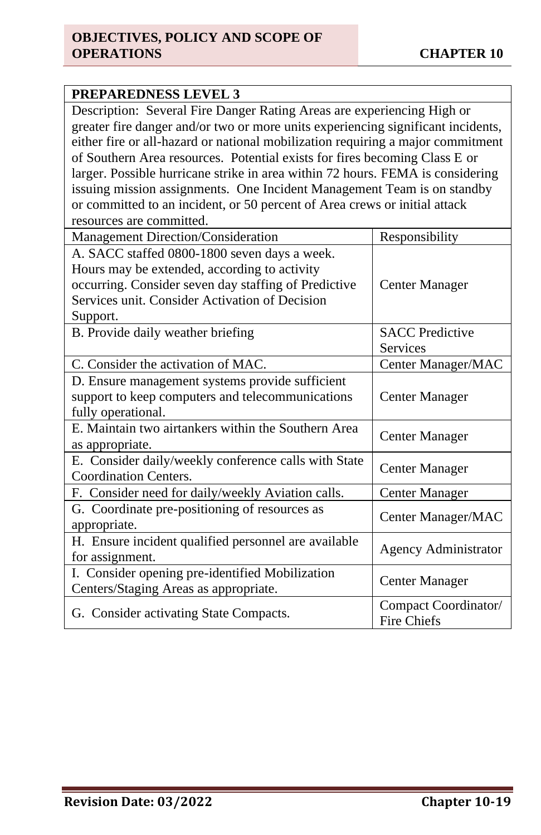| <b>PREPAREDNESS LEVEL 3</b>                                                                                                                                                                                                                   |                                            |  |
|-----------------------------------------------------------------------------------------------------------------------------------------------------------------------------------------------------------------------------------------------|--------------------------------------------|--|
| Description: Several Fire Danger Rating Areas are experiencing High or<br>greater fire danger and/or two or more units experiencing significant incidents,<br>either fire or all-hazard or national mobilization requiring a major commitment |                                            |  |
| of Southern Area resources. Potential exists for fires becoming Class E or<br>larger. Possible hurricane strike in area within 72 hours. FEMA is considering<br>issuing mission assignments. One Incident Management Team is on standby       |                                            |  |
| or committed to an incident, or 50 percent of Area crews or initial attack<br>resources are committed.                                                                                                                                        |                                            |  |
| Management Direction/Consideration                                                                                                                                                                                                            | Responsibility                             |  |
| A. SACC staffed 0800-1800 seven days a week.<br>Hours may be extended, according to activity<br>occurring. Consider seven day staffing of Predictive<br>Services unit. Consider Activation of Decision<br>Support.                            | Center Manager                             |  |
| B. Provide daily weather briefing                                                                                                                                                                                                             | <b>SACC</b> Predictive<br>Services         |  |
| C. Consider the activation of MAC.                                                                                                                                                                                                            | Center Manager/MAC                         |  |
| D. Ensure management systems provide sufficient<br>support to keep computers and telecommunications<br>fully operational.                                                                                                                     | <b>Center Manager</b>                      |  |
| E. Maintain two airtankers within the Southern Area<br>as appropriate.                                                                                                                                                                        | <b>Center Manager</b>                      |  |
| E. Consider daily/weekly conference calls with State<br><b>Coordination Centers.</b>                                                                                                                                                          | <b>Center Manager</b>                      |  |
| F. Consider need for daily/weekly Aviation calls.                                                                                                                                                                                             | <b>Center Manager</b>                      |  |
| G. Coordinate pre-positioning of resources as<br>appropriate.                                                                                                                                                                                 | Center Manager/MAC                         |  |
| H. Ensure incident qualified personnel are available<br>for assignment.                                                                                                                                                                       | <b>Agency Administrator</b>                |  |
| I. Consider opening pre-identified Mobilization<br>Centers/Staging Areas as appropriate.                                                                                                                                                      | <b>Center Manager</b>                      |  |
| G. Consider activating State Compacts.                                                                                                                                                                                                        | Compact Coordinator/<br><b>Fire Chiefs</b> |  |

**Service**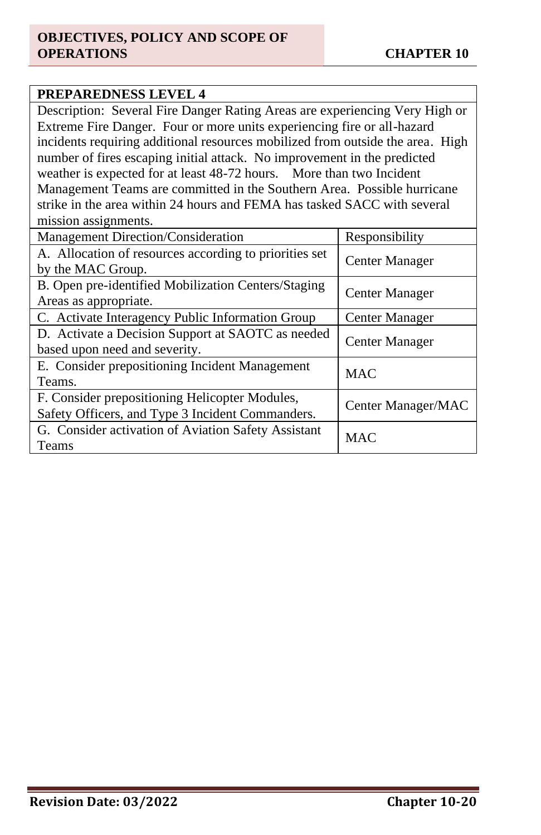# **PREPAREDNESS LEVEL 4** Description: Several Fire Danger Rating Areas are experiencing Very High or Extreme Fire Danger. Four or more units experiencing fire or all-hazard incidents requiring additional resources mobilized from outside the area. High number of fires escaping initial attack. No improvement in the predicted weather is expected for at least 48-72 hours. More than two Incident Management Teams are committed in the Southern Area. Possible hurricane strike in the area within 24 hours and FEMA has tasked SACC with several mission assignments. Management Direction/Consideration Responsibility A. Allocation of resources according to priorities set A. Anotation of resources according to priorities set <br>by the MAC Group. B. Open pre-identified Mobilization Centers/Staging B. Open pre-definition Moonization Centers/Staging | Center Manager C. Activate Interagency Public Information Group | Center Manager

| C. Activate Interagency Public Information Group                                                   | <b>Center Manager</b> |
|----------------------------------------------------------------------------------------------------|-----------------------|
| D. Activate a Decision Support at SAOTC as needed<br>based upon need and severity.                 | <b>Center Manager</b> |
| E. Consider prepositioning Incident Management<br>Teams.                                           | <b>MAC</b>            |
| F. Consider prepositioning Helicopter Modules,<br>Safety Officers, and Type 3 Incident Commanders. | Center Manager/MAC    |
| G. Consider activation of Aviation Safety Assistant<br><b>Teams</b>                                | <b>MAC</b>            |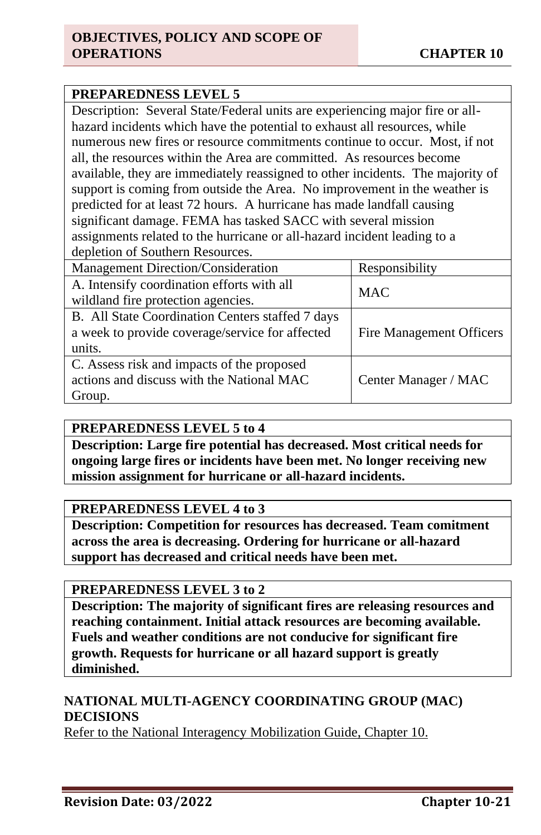### **PREPAREDNESS LEVEL 5**

Description: Several State/Federal units are experiencing major fire or allhazard incidents which have the potential to exhaust all resources, while numerous new fires or resource commitments continue to occur. Most, if not all, the resources within the Area are committed. As resources become available, they are immediately reassigned to other incidents. The majority of support is coming from outside the Area. No improvement in the weather is predicted for at least 72 hours. A hurricane has made landfall causing significant damage. FEMA has tasked SACC with several mission assignments related to the hurricane or all-hazard incident leading to a depletion of Southern Resources.

| Management Direction/Consideration               | Responsibility           |  |
|--------------------------------------------------|--------------------------|--|
| A. Intensify coordination efforts with all       | <b>MAC</b>               |  |
| wildland fire protection agencies.               |                          |  |
| B. All State Coordination Centers staffed 7 days |                          |  |
| a week to provide coverage/service for affected  | Fire Management Officers |  |
| units.                                           |                          |  |
| C. Assess risk and impacts of the proposed       |                          |  |
| actions and discuss with the National MAC        | Center Manager / MAC     |  |
| Group.                                           |                          |  |

#### **PREPAREDNESS LEVEL 5 to 4**

**Description: Large fire potential has decreased. Most critical needs for ongoing large fires or incidents have been met. No longer receiving new mission assignment for hurricane or all-hazard incidents.** 

#### **PREPAREDNESS LEVEL 4 to 3**

**Description: Competition for resources has decreased. Team comitment across the area is decreasing. Ordering for hurricane or all-hazard support has decreased and critical needs have been met.** 

#### **PREPAREDNESS LEVEL 3 to 2**

**Description: The majority of significant fires are releasing resources and reaching containment. Initial attack resources are becoming available. Fuels and weather conditions are not conducive for significant fire growth. Requests for hurricane or all hazard support is greatly diminished.** 

#### **NATIONAL MULTI-AGENCY COORDINATING GROUP (MAC) DECISIONS**

Refer to the National Interagency Mobilization Guide, Chapter 10.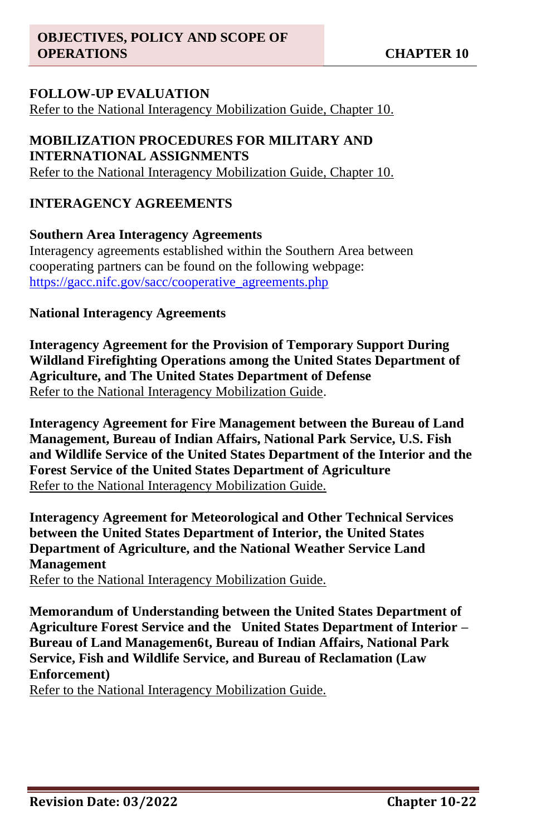# **FOLLOW-UP EVALUATION**

Refer to the National Interagency Mobilization Guide, Chapter 10.

### **MOBILIZATION PROCEDURES FOR MILITARY AND INTERNATIONAL ASSIGNMENTS** Refer to the National Interagency Mobilization Guide, Chapter 10.

#### **INTERAGENCY AGREEMENTS**

#### **Southern Area Interagency Agreements**

Interagency agreements established within the Southern Area between cooperating partners can be found on the following webpage: [https://gacc.nifc.gov/sacc/cooperative\\_agreements.php](https://gacc.nifc.gov/sacc/cooperative_agreements.php)

#### **National Interagency Agreements**

**Interagency Agreement for the Provision of Temporary Support During Wildland Firefighting Operations among the United States Department of Agriculture, and The United States Department of Defense**  Refer to the National Interagency Mobilization Guide.

**Interagency Agreement for Fire Management between the Bureau of Land Management, Bureau of Indian Affairs, National Park Service, U.S. Fish and Wildlife Service of the United States Department of the Interior and the Forest Service of the United States Department of Agriculture** Refer to the National Interagency Mobilization Guide.

**Interagency Agreement for Meteorological and Other Technical Services between the United States Department of Interior, the United States Department of Agriculture, and the National Weather Service Land Management**

Refer to the National Interagency Mobilization Guide.

**Memorandum of Understanding between the United States Department of Agriculture Forest Service and the United States Department of Interior – Bureau of Land Managemen6t, Bureau of Indian Affairs, National Park Service, Fish and Wildlife Service, and Bureau of Reclamation (Law Enforcement)**

Refer to the National Interagency Mobilization Guide.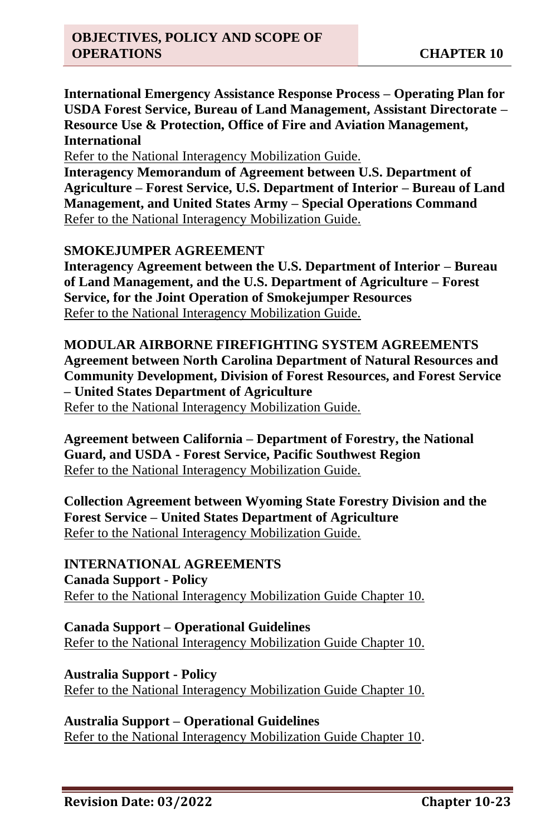**International Emergency Assistance Response Process – Operating Plan for USDA Forest Service, Bureau of Land Management, Assistant Directorate – Resource Use & Protection, Office of Fire and Aviation Management, International** 

Refer to the National Interagency Mobilization Guide.

**Interagency Memorandum of Agreement between U.S. Department of Agriculture – Forest Service, U.S. Department of Interior – Bureau of Land Management, and United States Army – Special Operations Command** Refer to the National Interagency Mobilization Guide.

#### **SMOKEJUMPER AGREEMENT**

**Interagency Agreement between the U.S. Department of Interior – Bureau of Land Management, and the U.S. Department of Agriculture – Forest Service, for the Joint Operation of Smokejumper Resources** Refer to the National Interagency Mobilization Guide.

**MODULAR AIRBORNE FIREFIGHTING SYSTEM AGREEMENTS Agreement between North Carolina Department of Natural Resources and Community Development, Division of Forest Resources, and Forest Service – United States Department of Agriculture** Refer to the National Interagency Mobilization Guide.

**Agreement between California – Department of Forestry, the National Guard, and USDA - Forest Service, Pacific Southwest Region**  Refer to the National Interagency Mobilization Guide.

**Collection Agreement between Wyoming State Forestry Division and the Forest Service – United States Department of Agriculture** Refer to the National Interagency Mobilization Guide.

**INTERNATIONAL AGREEMENTS Canada Support - Policy** Refer to the National Interagency Mobilization Guide Chapter 10.

**Canada Support – Operational Guidelines** Refer to the National Interagency Mobilization Guide Chapter 10.

**Australia Support - Policy** Refer to the National Interagency Mobilization Guide Chapter 10.

**Australia Support – Operational Guidelines** Refer to the National Interagency Mobilization Guide Chapter 10.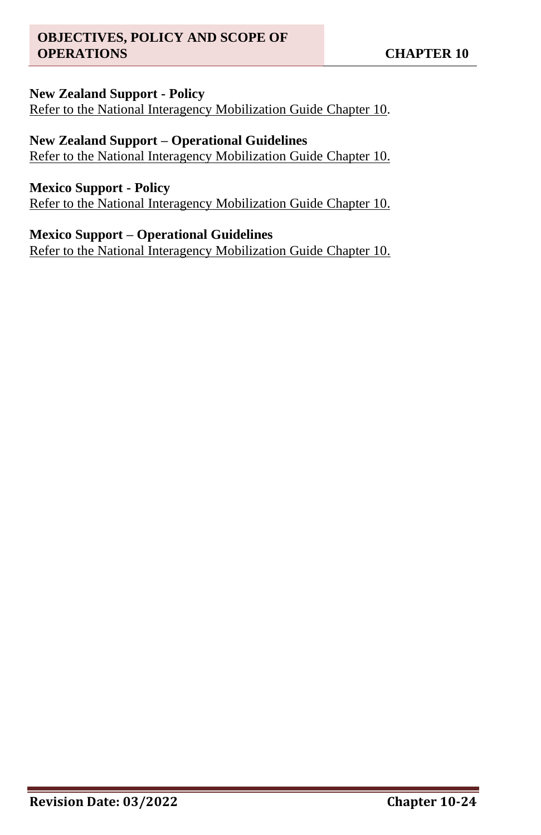#### **New Zealand Support - Policy**

Refer to the National Interagency Mobilization Guide Chapter 10.

### **New Zealand Support – Operational Guidelines**

Refer to the National Interagency Mobilization Guide Chapter 10.

#### **Mexico Support - Policy**

Refer to the National Interagency Mobilization Guide Chapter 10.

#### **Mexico Support – Operational Guidelines**

Refer to the National Interagency Mobilization Guide Chapter 10.